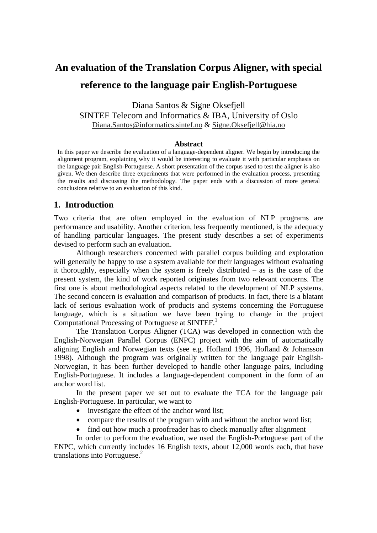# **An evaluation of the Translation Corpus Aligner, with special reference to the language pair English-Portuguese**

Diana Santos & Signe Oksefjell SINTEF Telecom and Informatics & IBA, University of Oslo Diana.Santos@informatics.sintef.no & Signe.Oksefjell@hia.no

#### **Abstract**

In this paper we describe the evaluation of a language-dependent aligner. We begin by introducing the alignment program, explaining why it would be interesting to evaluate it with particular emphasis on the language pair English-Portuguese. A short presentation of the corpus used to test the aligner is also given. We then describe three experiments that were performed in the evaluation process, presenting the results and discussing the methodology. The paper ends with a discussion of more general conclusions relative to an evaluation of this kind.

## **1. Introduction**

Two criteria that are often employed in the evaluation of NLP programs are performance and usability. Another criterion, less frequently mentioned, is the adequacy of handling particular languages. The present study describes a set of experiments devised to perform such an evaluation.

Although researchers concerned with parallel corpus building and exploration will generally be happy to use a system available for their languages without evaluating it thoroughly, especially when the system is freely distributed – as is the case of the present system, the kind of work reported originates from two relevant concerns. The first one is about methodological aspects related to the development of NLP systems. The second concern is evaluation and comparison of products. In fact, there is a blatant lack of serious evaluation work of products and systems concerning the Portuguese language, which is a situation we have been trying to change in the project Computational Processing of Portuguese at SINTEF.<sup>1</sup>

The Translation Corpus Aligner (TCA) was developed in connection with the English-Norwegian Parallel Corpus (ENPC) project with the aim of automatically aligning English and Norwegian texts (see e.g. Hofland 1996, Hofland & Johansson 1998). Although the program was originally written for the language pair English-Norwegian, it has been further developed to handle other language pairs, including English-Portuguese. It includes a language-dependent component in the form of an anchor word list.

In the present paper we set out to evaluate the TCA for the language pair English-Portuguese. In particular, we want to

- investigate the effect of the anchor word list;
- compare the results of the program with and without the anchor word list;
- find out how much a proofreader has to check manually after alignment

In order to perform the evaluation, we used the English-Portuguese part of the ENPC, which currently includes 16 English texts, about 12,000 words each, that have translations into Portuguese.2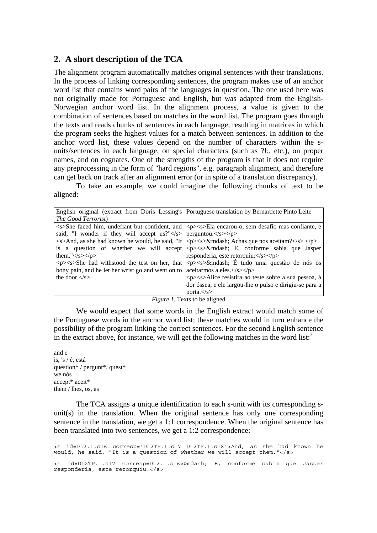## **2. A short description of the TCA**

The alignment program automatically matches original sentences with their translations. In the process of linking corresponding sentences, the program makes use of an anchor word list that contains word pairs of the languages in question. The one used here was not originally made for Portuguese and English, but was adapted from the English-Norwegian anchor word list. In the alignment process, a value is given to the combination of sentences based on matches in the word list. The program goes through the texts and reads chunks of sentences in each language, resulting in matrices in which the program seeks the highest values for a match between sentences. In addition to the anchor word list, these values depend on the number of characters within the sunits/sentences in each language, on special characters (such as ?!;, etc.), on proper names, and on cognates. One of the strengths of the program is that it does not require any preprocessing in the form of "hard regions", e.g. paragraph alignment, and therefore can get back on track after an alignment error (or in spite of a translation discrepancy).

To take an example, we could imagine the following chunks of text to be aligned:

|                                                                                                                                                                                                                                                                                                                                                                    | English original (extract from Doris Lessing's Portuguese translation by Bernardette Pinto Leite                                                                                                                                                                                                                                                                                                                                                                                                                                                                                                                                                                           |
|--------------------------------------------------------------------------------------------------------------------------------------------------------------------------------------------------------------------------------------------------------------------------------------------------------------------------------------------------------------------|----------------------------------------------------------------------------------------------------------------------------------------------------------------------------------------------------------------------------------------------------------------------------------------------------------------------------------------------------------------------------------------------------------------------------------------------------------------------------------------------------------------------------------------------------------------------------------------------------------------------------------------------------------------------------|
| <i>The Good Terrorist</i> )                                                                                                                                                                                                                                                                                                                                        |                                                                                                                                                                                                                                                                                                                                                                                                                                                                                                                                                                                                                                                                            |
| said, "I wonder if they will accept us?" $\langle s \rangle$ perguntou: $\langle s \rangle \langle p \rangle$<br>them." $\langle$ s> $\langle p \rangle$<br>$\langle p \rangle \langle s \rangle$ She had withstood the test on her, that<br>bony pain, and he let her wrist go and went on to aceitarmos a eles. $\langle$ s> $\langle$ p><br>the door. $\lt$ /s> | $\langle$ s>She faced him, undefiant but confident, and $\langle$ p> $\langle$ s>Ela encarou-o, sem desafio mas confiante, e<br>$\langle$ s>And, as she had known he would, he said, "It $\langle$ p> $\langle$ s>— Achas que nos aceitam? $\langle$ /s> $\langle$ /p><br>is a question of whether we will accept $ \langle p \rangle \langle s \rangle$ & mdash; E, conforme sabia que Jasper<br>responderia, este retorquiu:<br>$\langle p \rangle \langle s \rangle$ & mdash; É tudo uma questão de nós os<br><p><s>Alice resistira ao teste sobre a sua pessoa, à<br/>dor óssea, e ele largou-lhe o pulso e dirigiu-se para a<br/>porta.<math>\lt</math>/s&gt;</s></p> |
|                                                                                                                                                                                                                                                                                                                                                                    | $\mathbf{F}^*$ and $\mathbf{F}$ and $\mathbf{F}$ and $\mathbf{F}$ and $\mathbf{F}$ and $\mathbf{F}$ and $\mathbf{F}$ and $\mathbf{F}$ and $\mathbf{F}$ and $\mathbf{F}$ and $\mathbf{F}$ and $\mathbf{F}$ and $\mathbf{F}$ and $\mathbf{F}$ and $\mathbf{F}$ and $\mathbf{F}$ and $\mathbf{F}$ an                                                                                                                                                                                                                                                                                                                                                                          |

*Figure 1.* Texts to be aligned

We would expect that some words in the English extract would match some of the Portuguese words in the anchor word list; these matches would in turn enhance the possibility of the program linking the correct sentences. For the second English sentence in the extract above, for instance, we will get the following matches in the word list: $3$ 

and e is, 's / é, está question\* / pergunt\*, quest\* we nós accept\* aceit\* them / lhes, os, as

The TCA assigns a unique identification to each s-unit with its corresponding sunit(s) in the translation. When the original sentence has only one corresponding sentence in the translation, we get a 1:1 correspondence. When the original sentence has been translated into two sentences, we get a 1:2 correspondence:

<s id=DL2.1.s16 corresp='DL2TP.1.s17 DL2TP.1.s18'>And, as she had known he would, he said, "It is a question of whether we will accept them."</s>

<s id=DL2TP.1.s17 corresp=DL2.1.s16>&mdash; E, conforme sabia que Jasper responderia, este retorquiu:</s>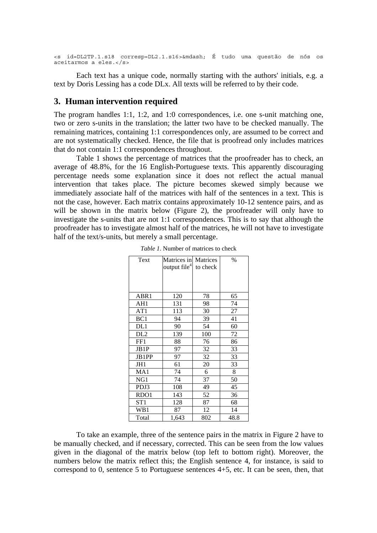```
<s id=DL2TP.1.s18 corresp=DL2.1.s16>&mdash; É tudo uma questão de nós os 
aceitarmos a eles.</s>
```
Each text has a unique code, normally starting with the authors' initials, e.g. a text by Doris Lessing has a code DLx. All texts will be referred to by their code.

#### **3. Human intervention required**

The program handles 1:1, 1:2, and 1:0 correspondences, i.e. one s-unit matching one, two or zero s-units in the translation; the latter two have to be checked manually. The remaining matrices, containing 1:1 correspondences only, are assumed to be correct and are not systematically checked. Hence, the file that is proofread only includes matrices that do not contain 1:1 correspondences throughout.

Table 1 shows the percentage of matrices that the proofreader has to check, an average of 48.8%, for the 16 English-Portuguese texts. This apparently discouraging percentage needs some explanation since it does not reflect the actual manual intervention that takes place. The picture becomes skewed simply because we immediately associate half of the matrices with half of the sentences in a text. This is not the case, however. Each matrix contains approximately 10-12 sentence pairs, and as will be shown in the matrix below (Figure 2), the proofreader will only have to investigate the s-units that are not 1:1 correspondences. This is to say that although the proofreader has to investigate almost half of the matrices, he will not have to investigate half of the text/s-units, but merely a small percentage.

| Text             | Matrices in<br>output file <sup>4</sup> | Matrices<br>to check | $\%$ |
|------------------|-----------------------------------------|----------------------|------|
|                  |                                         |                      |      |
| ABR1             | 120                                     | 78                   | 65   |
| AH1              | 131                                     | 98                   | 74   |
| AT1              | 113                                     | 30                   | 27   |
| BC1              | 94                                      | 39                   | 41   |
| DL1              | 90                                      | 54                   | 60   |
| DL <sub>2</sub>  | 139                                     | 100                  | 72   |
| FF1              | 88                                      | 76                   | 86   |
| JB1P             | 97                                      | 32                   | 33   |
| JB1PP            | 97                                      | 32                   | 33   |
| JH1              | 61                                      | 20                   | 33   |
| MA1              | 74                                      | 6                    | 8    |
| NG1              | 74                                      | 37                   | 50   |
| PDJ3             | 108                                     | 49                   | 45   |
| RDO <sub>1</sub> | 143                                     | 52                   | 36   |
| ST1              | 128                                     | 87                   | 68   |
| WB1              | 87                                      | 12                   | 14   |
| Total            | 1,643                                   | 802                  | 48.8 |

*Table 1*. Number of matrices to check

To take an example, three of the sentence pairs in the matrix in Figure 2 have to be manually checked, and if necessary, corrected. This can be seen from the low values given in the diagonal of the matrix below (top left to bottom right). Moreover, the numbers below the matrix reflect this; the English sentence 4, for instance, is said to correspond to 0, sentence 5 to Portuguese sentences 4+5, etc. It can be seen, then, that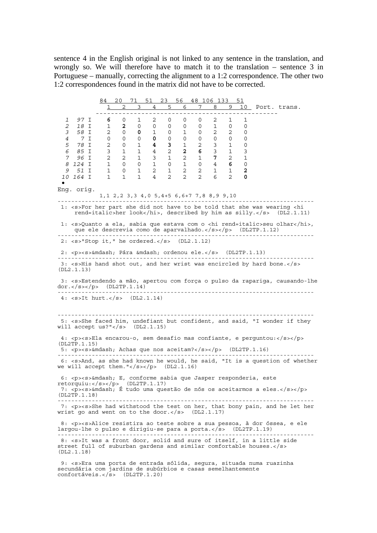sentence 4 in the English original is not linked to any sentence in the translation, and wrongly so. We will therefore have to match it to the translation – sentence 3 in Portuguese – manually, correcting the alignment to a 1:2 correspondence. The other two 1:2 correspondences found in the matrix did not have to be corrected.

84 20 71 51 23 56 48 106 133 51 2 3 4 5 6 7 8 9 10 Port. trans. ------------------------------------------------ *1 97* I **6** 0 1 2 0 0 0 2 1 1 *2 18* I 1 **2** 0 0 0 0 0 1 0 0 *3 58* I 2 0 **0** 1 0 1 0 2 2 0 *4 7* I 0 0 0 **0** 0 0 0 0 0 0 *5 78* I 2 0 1 **4 3** 1 2 3 1 0 *6 85* I 3 1 1 4 2 **2 6** 3 1 3 *7 96* I 2 2 1 3 1 2 1 **7** 2 1 *8 124* I 1 0 0 1 0 1 0 4 **6** 0  *9 51* I 1 0 1 2 1 2 2 1 1 **2** *10 164* I 1 1 1 4 2 2 2 6 2 **<sup>0</sup>** • Eng. orig. 1,1 2,2 3,3 4,0 5,4+5 6,6+7 7,8 8,9 9,10 --------------------------------------------------------------------------- 1: <s>For her part she did not have to be told that she was wearing <hi rend=italic>her look</hi>, described by him as silly.</s> (DL2.1.11) 1: <s>Quanto a ela, sabia que estava com o <hi rend=italic>seu olhar</hi>, que ele descrevia como de aparvalhado.</s></p> (DL2TP.1.12) --------------------------------------------------------------------------- 2: <s>"Stop it," he ordered.</s> (DL2.1.12) 2: <p><s>&mdash; Pára &mdash; ordenou ele.</s> (DL2TP.1.13) --------------------------------------------------------------------------- 3: <s>His hand shot out, and her wrist was encircled by hard bone.</s> (DL2.1.13) 3: <s>Estendendo a mão, apertou com força o pulso da rapariga, causando-lhe dor.</s></p> (DL2TP.1.14) --------------------------------------------------------------------------- 4: <s>It hurt.</s> (DL2.1.14) --------------------------------------------------------------------------- 5: <s>She faced him, undefiant but confident, and said, "I wonder if they will accept us?"</s> (DL2.1.15) 4: <p><s>Ela encarou-o, sem desafio mas confiante, e perguntou:</s></p>  $(DI.2TP.1.15)$ 5: <p><s>&mdash; Achas que nos aceitam?</s></p> (DL2TP.1.16) --------------------------------------------------------------------------- 6: <s>And, as she had known he would, he said, "It is a question of whether we will accept them." $\langle$  s> $\langle$  p> (DL2.1.16) 6: <p><s>&mdash; E, conforme sabia que Jasper responderia, este retorquiu:</s></p> (DL2TP.1.17) 7:  $<\pmb{p}$  < $\pmb{s}$ > & mdash; É tudo uma questão de nós os aceitarmos a eles. $<$ / $\pmb{s}$  > </p> (DL2TP.1.18)  $-$  7: <p><s>She had withstood the test on her, that bony pain, and he let her wrist go and went on to the door. $\langle$ /s> (DL2.1.17) 8: <p><s>Alice resistira ao teste sobre a sua pessoa, à dor óssea, e ele largou-lhe o pulso e dirigiu-se para a porta.</s> (DL2TP.1.19) --------------------------------------------------------------------------- 8: <s>It was a front door, solid and sure of itself, in a little side street full of suburban gardens and similar comfortable houses.</s> (DL2.1.18) 9: <s>Era uma porta de entrada sólida, segura, situada numa ruazinha

secundária com jardins de subúrbios e casas semelhantemente confortáveis.</s> (DL2TP.1.20)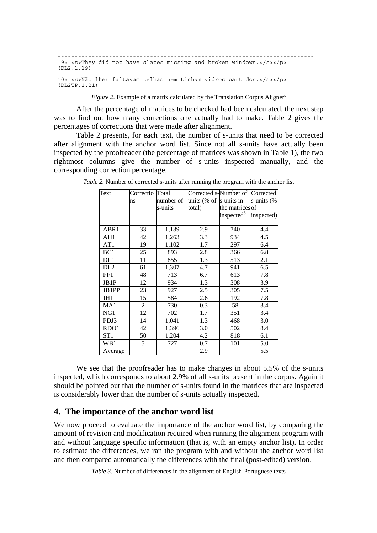```
--------------------------------------------------------------------------- 
9: <s>They did not have slates missing and broken windows.</s></p>
(DL2.1.19) 
10: <s>Não lhes faltavam telhas nem tinham vidros partidos.</s></p> 
(DL2TP.1.21) 
--------------------------------------------------------------------------- 
          Figure 2. Example of a matrix calculated by the Translation Corpus Aligner<sup>5</sup>
```
After the percentage of matrices to be checked had been calculated, the next step was to find out how many corrections one actually had to make. Table 2 gives the percentages of corrections that were made after alignment.

Table 2 presents, for each text, the number of s-units that need to be corrected after alignment with the anchor word list. Since not all s-units have actually been inspected by the proofreader (the percentage of matrices was shown in Table 1), the two rightmost columns give the number of s-units inspected manually, and the corresponding correction percentage.

| Text             | Correctio      | Total     |                         | Corrected s-Number of Corrected |            |
|------------------|----------------|-----------|-------------------------|---------------------------------|------------|
|                  | ns             | number of | units $%$ of s-units in |                                 | s-units (% |
|                  |                | s-units   | total)                  | the matrices of                 |            |
|                  |                |           |                         | inspected <sup>6</sup>          | inspected) |
|                  |                |           |                         |                                 |            |
| ABR1             | 33             | 1,139     | 2.9                     | 740                             | 4.4        |
| AH1              | 42             | 1,263     | 3.3                     | 934                             | 4.5        |
| AT1              | 19             | 1,102     | 1.7                     | 297                             | 6.4        |
| BC1              | 25             | 893       | 2.8                     | 366                             | 6.8        |
| DL1              | 11             | 855       | 1.3                     | 513                             | 2.1        |
| DL <sub>2</sub>  | 61             | 1,307     | 4.7                     | 941                             | 6.5        |
| FF1              | 48             | 713       | 6.7                     | 613                             | 7.8        |
| JB1P             | 12             | 934       | 1.3                     | 308                             | 3.9        |
| JB1PP            | 23             | 927       | 2.5                     | 305                             | 7.5        |
| JH1              | 15             | 584       | 2.6                     | 192                             | 7.8        |
| MA1              | $\overline{2}$ | 730       | 0.3                     | 58                              | 3.4        |
| NG1              | 12             | 702       | 1.7                     | 351                             | 3.4        |
| PDJ3             | 14             | 1,041     | 1.3                     | 468                             | 3.0        |
| RDO <sub>1</sub> | 42             | 1,396     | 3.0                     | 502                             | 8.4        |
| ST <sub>1</sub>  | 50             | 1,204     | 4.2                     | 818                             | 6.1        |
| WB1              | 5              | 727       | 0.7                     | 101                             | 5.0        |
| Average          |                |           | 2.9                     |                                 | 5.5        |

*Table 2.* Number of corrected s-units after running the program with the anchor list

We see that the proofreader has to make changes in about 5.5% of the s-units inspected, which corresponds to about 2.9% of all s-units present in the corpus. Again it should be pointed out that the number of s-units found in the matrices that are inspected is considerably lower than the number of s-units actually inspected.

## **4. The importance of the anchor word list**

We now proceed to evaluate the importance of the anchor word list, by comparing the amount of revision and modification required when running the alignment program with and without language specific information (that is, with an empty anchor list). In order to estimate the differences, we ran the program with and without the anchor word list and then compared automatically the differences with the final (post-edited) version.

*Table 3.* Number of differences in the alignment of English-Portuguese texts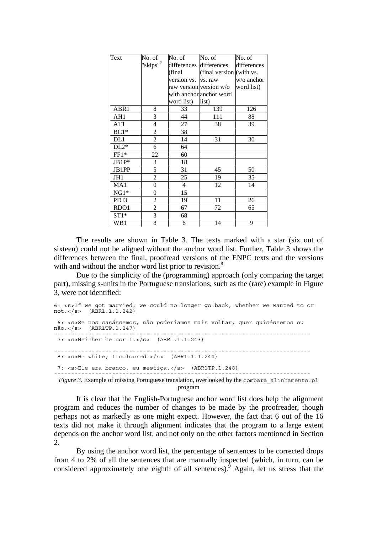| Text             | No. of                   | No. of              | No. of                   | No. of      |
|------------------|--------------------------|---------------------|--------------------------|-------------|
|                  | "skips" <sup>7</sup>     |                     | differences differences  | differences |
|                  |                          | (final              | (final version (with vs. |             |
|                  |                          | version vs. vs. raw |                          | w/o anchor  |
|                  |                          |                     | raw version version w/o  | word list)  |
|                  |                          |                     | with anchor anchor word  |             |
|                  |                          | word list)          | list)                    |             |
| ABR1             | 8                        | 33                  | 139                      | 126         |
| AH1              | 3                        | 44                  | 111                      | 88          |
| AT1              | $\overline{\mathcal{L}}$ | 27                  | 38                       | 39          |
| $BC1*$           | $\overline{c}$           | 38                  |                          |             |
| DL1              | $\overline{c}$           | 14                  | 31                       | 30          |
| $DL2*$           | 6                        | 64                  |                          |             |
| $FF1*$           | 22                       | 60                  |                          |             |
| $JB1P*$          | 3                        | 18                  |                          |             |
| JB1PP            | 5                        | 31                  | 45                       | 50          |
| JH1              | $\overline{c}$           | 25                  | 19                       | 35          |
| MA1              | $\boldsymbol{0}$         | $\overline{4}$      | 12                       | 14          |
| $NG1*$           | 0                        | 15                  |                          |             |
| PDJ3             | $\overline{c}$           | 19                  | 11                       | 26          |
| RDO <sub>1</sub> | $\overline{c}$           | 67                  | 72                       | 65          |
| $ST1*$           | 3                        | 68                  |                          |             |
| WB1              | 8                        | 6                   | 14                       | 9           |

The results are shown in Table 3. The texts marked with a star (six out of sixteen) could not be aligned without the anchor word list. Further, Table 3 shows the differences between the final, proofread versions of the ENPC texts and the versions with and without the anchor word list prior to revision.<sup>8</sup>

Due to the simplicity of the (programming) approach (only comparing the target part), missing s-units in the Portuguese translations, such as the (rare) example in Figure 3, were not identified:

```
6: <s>If we got married, we could no longer go back, whether we wanted to or 
not.</s> (ABR1.1.1.242) 
  6: <s>Se nos casássemos, não poderíamos mais voltar, quer quiséssemos ou 
não.</s> (ABR1TP.1.247) 
                           --------------------------------------------------------------------------- 
 7: <s>Neither he nor I.</s> (ABR1.1.1.243) 
                                                       --------------------------------------------------------------------------- 
 8: <s>He white; I coloured.</s> (ABR1.1.1.244) 
 7: <s>Ele era branco, eu mestiça.</s> (ABR1TP.1.248) 
---------------------------------------------------------------------------
 Figure 3. Example of missing Portuguese translation, overlooked by the compara alinhamento.pl
                                          program
```
It is clear that the English-Portuguese anchor word list does help the alignment program and reduces the number of changes to be made by the proofreader, though perhaps not as markedly as one might expect. However, the fact that 6 out of the 16 texts did not make it through alignment indicates that the program to a large extent depends on the anchor word list, and not only on the other factors mentioned in Section 2.

By using the anchor word list, the percentage of sentences to be corrected drops from 4 to 2% of all the sentences that are manually inspected (which, in turn, can be considered approximately one eighth of all sentences). Again, let us stress that the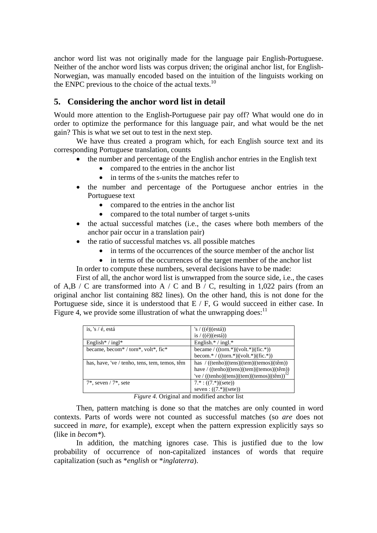anchor word list was not originally made for the language pair English-Portuguese. Neither of the anchor word lists was corpus driven; the original anchor list, for English-Norwegian, was manually encoded based on the intuition of the linguists working on the ENPC previous to the choice of the actual texts. $^{10}$ 

## **5. Considering the anchor word list in detail**

Would more attention to the English-Portuguese pair pay off? What would one do in order to optimize the performance for this language pair, and what would be the net gain? This is what we set out to test in the next step.

We have thus created a program which, for each English source text and its corresponding Portuguese translation, counts

- the number and percentage of the English anchor entries in the English text
	- compared to the entries in the anchor list
	- in terms of the s-units the matches refer to
- the number and percentage of the Portuguese anchor entries in the Portuguese text
	- compared to the entries in the anchor list
	- compared to the total number of target s-units
- the actual successful matches (i.e., the cases where both members of the anchor pair occur in a translation pair)
- the ratio of successful matches vs. all possible matches
	- in terms of the occurrences of the source member of the anchor list
	- in terms of the occurrences of the target member of the anchor list

In order to compute these numbers, several decisions have to be made:

First of all, the anchor word list is unwrapped from the source side, i.e., the cases of A,B / C are transformed into A / C and B / C, resulting in 1,022 pairs (from an original anchor list containing 882 lines). On the other hand, this is not done for the Portuguese side, since it is understood that E / F, G would succeed in either case. In Figure 4, we provide some illustration of what the unwrapping does:  $11$ 

| is, 's $/$ é, está                                                                    | 's / $((\acute{e})$ $(\acute{e})$ stá)                                                                                                                                                                                                                                                                                                                                                                                                                                                                                                          |
|---------------------------------------------------------------------------------------|-------------------------------------------------------------------------------------------------------------------------------------------------------------------------------------------------------------------------------------------------------------------------------------------------------------------------------------------------------------------------------------------------------------------------------------------------------------------------------------------------------------------------------------------------|
|                                                                                       | is $/ ((\acute{e})$ (está))                                                                                                                                                                                                                                                                                                                                                                                                                                                                                                                     |
| English* / ingl*                                                                      | English. $* /$ ingl. $*$                                                                                                                                                                                                                                                                                                                                                                                                                                                                                                                        |
| became, becom <sup>*</sup> / torn <sup>*</sup> , volt <sup>*</sup> , fic <sup>*</sup> | became / $((\text{torn.}) \times  (\text{volt.}) \times  (\text{fic.}) \times  (\text{fac.}) \times  (\text{tor.}) \times  (\text{tor.}) \times  (\text{fact.}) \times  (\text{tor.}) \times  (\text{tor.}) \times  (\text{tor.}) \times  (\text{tor.}) \times  (\text{tor.}) \times  (\text{tor.}) \times  (\text{tor.}) \times  (\text{tor.}) \times  (\text{tor.}) \times  (\text{tor.}) \times  (\text{tor.}) \times  (\text{tor.}) \times  (\text{tor.}) \times  (\text{tor.}) \times  (\text{tor.}) \times  (\text{tor.}) \times  (\text$ |
|                                                                                       | becom.*/ $((\text{torn.*)} (\text{volt.*)} (\text{fic.*)})$                                                                                                                                                                                                                                                                                                                                                                                                                                                                                     |
| has, have, 've / tenho, tens, tem, temos, têm                                         | has $/((\text{tenho}) (\text{tens}) (\text{tem}) (\text{temos}) (\hat{\text{tem}}))$                                                                                                                                                                                                                                                                                                                                                                                                                                                            |
|                                                                                       | have / ((tenho) (tens) (tem) (temos) (têm))                                                                                                                                                                                                                                                                                                                                                                                                                                                                                                     |
|                                                                                       | 've / ((tenho) (tens) (tem) (temos) (têm)) <sup>12</sup>                                                                                                                                                                                                                                                                                                                                                                                                                                                                                        |
| $7^*$ , seven / $7^*$ , sete                                                          | $7.*$ : ((7.*) (sete))                                                                                                                                                                                                                                                                                                                                                                                                                                                                                                                          |
|                                                                                       | seven: $((7.*) $ (sete))                                                                                                                                                                                                                                                                                                                                                                                                                                                                                                                        |

*Figure 4.* Original and modified anchor list

Then, pattern matching is done so that the matches are only counted in word contexts. Parts of words were not counted as successful matches (so *are* does not succeed in *mare*, for example), except when the pattern expression explicitly says so (like in *becom\**).

In addition, the matching ignores case. This is justified due to the low probability of occurrence of non-capitalized instances of words that require capitalization (such as \**english* or \**inglaterra*).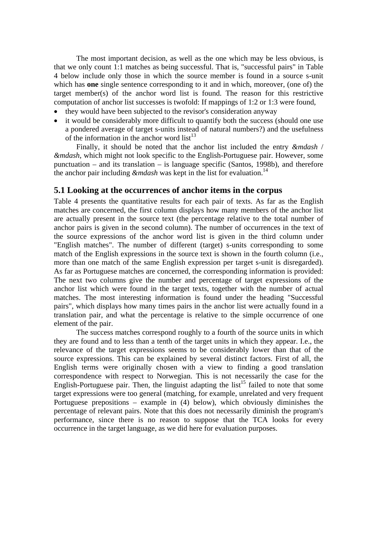The most important decision, as well as the one which may be less obvious, is that we only count 1:1 matches as being successful. That is, "successful pairs" in Table 4 below include only those in which the source member is found in a source s-unit which has **one** single sentence corresponding to it and in which, moreover, (one of) the target member(s) of the anchor word list is found. The reason for this restrictive computation of anchor list successes is twofold: If mappings of 1:2 or 1:3 were found,

- they would have been subjected to the revisor's consideration anyway
- it would be considerably more difficult to quantify both the success (should one use a pondered average of target s-units instead of natural numbers?) and the usefulness of the information in the anchor word  $list^{13}$

Finally, it should be noted that the anchor list included the entry *&mdash* / *&mdash*, which might not look specific to the English-Portuguese pair. However, some punctuation – and its translation – is language specific (Santos, 1998b), and therefore the anchor pair including *&mdash* was kept in the list for evaluation.<sup>14</sup>

## **5.1 Looking at the occurrences of anchor items in the corpus**

Table 4 presents the quantitative results for each pair of texts. As far as the English matches are concerned, the first column displays how many members of the anchor list are actually present in the source text (the percentage relative to the total number of anchor pairs is given in the second column). The number of occurrences in the text of the source expressions of the anchor word list is given in the third column under "English matches". The number of different (target) s-units corresponding to some match of the English expressions in the source text is shown in the fourth column (i.e., more than one match of the same English expression per target s-unit is disregarded). As far as Portuguese matches are concerned, the corresponding information is provided: The next two columns give the number and percentage of target expressions of the anchor list which were found in the target texts, together with the number of actual matches. The most interesting information is found under the heading "Successful pairs", which displays how many times pairs in the anchor list were actually found in a translation pair, and what the percentage is relative to the simple occurrence of one element of the pair.

The success matches correspond roughly to a fourth of the source units in which they are found and to less than a tenth of the target units in which they appear. I.e., the relevance of the target expressions seems to be considerably lower than that of the source expressions. This can be explained by several distinct factors. First of all, the English terms were originally chosen with a view to finding a good translation correspondence with respect to Norwegian. This is not necessarily the case for the English-Portuguese pair. Then, the linguist adapting the list<sup>15</sup> failed to note that some target expressions were too general (matching, for example, unrelated and very frequent Portuguese prepositions – example in (4) below), which obviously diminishes the percentage of relevant pairs. Note that this does not necessarily diminish the program's performance, since there is no reason to suppose that the TCA looks for every occurrence in the target language, as we did here for evaluation purposes.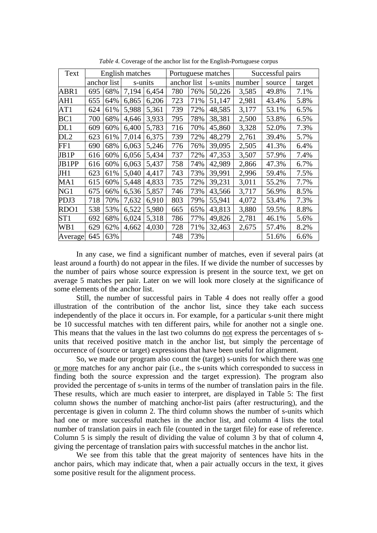| Text            |     |             | English matches |         |             |     | Portuguese matches | Successful pairs |        |        |  |
|-----------------|-----|-------------|-----------------|---------|-------------|-----|--------------------|------------------|--------|--------|--|
|                 |     | anchor list |                 | s-units | anchor list |     | s-units            | number           | source | target |  |
| ABR1            | 695 | 68%         | 7,194           | 6,454   | 780         | 76% | 50,226             | 3,585            | 49.8%  | 7.1%   |  |
| AH1             | 655 | 64%         | 6,865           | 6,206   | 723         | 71% | 51,147             | 2,981            | 43.4%  | 5.8%   |  |
| AT1             | 624 | 61%         | 5,988           | 5,361   | 739         | 72% | 48,585             | 3,177            | 53.1%  | 6.5%   |  |
| BC1             | 700 | 68%         | 4,646           | 3,933   | 795         | 78% | 38,381             | 2,500            | 53.8%  | 6.5%   |  |
| DL1             | 609 | 60%         | 6,400           | 5,783   | 716         | 70% | 45,860             | 3,328            | 52.0%  | 7.3%   |  |
| DL <sub>2</sub> | 623 | 61%         | 7,014           | 6,375   | 739         | 72% | 48,279             | 2,761            | 39.4%  | 5.7%   |  |
| FF1             | 690 | 68%         | 6,063           | 5,246   | 776         | 76% | 39,095             | 2,505            | 41.3%  | 6.4%   |  |
| JB1P            | 616 | 60%         | 6,056           | 5,434   | 737         | 72% | 47,353             | 3,507            | 57.9%  | 7.4%   |  |
| JB1PP           | 616 | 60%         | 6,063           | 5,437   | 758         | 74% | 42,989             | 2,866            | 47.3%  | 6.7%   |  |
| JH1             | 623 | 61%         | 5,040           | 4,417   | 743         | 73% | 39,991             | 2,996            | 59.4%  | 7.5%   |  |
| MA1             | 615 | 60%         | 5,448           | 4,833   | 735         | 72% | 39,231             | 3,011            | 55.2%  | 7.7%   |  |
| NG1             | 675 | 66%         | 6,536           | 5,857   | 746         | 73% | 43,566             | 3,717            | 56.9%  | 8.5%   |  |
| PDJ3            | 718 | 70%         | 7,632           | 6,910   | 803         | 79% | 55,941             | 4,072            | 53.4%  | 7.3%   |  |
| RDO1            | 538 | 53%         | 6,522           | 5,980   | 665         | 65% | 43,813             | 3,880            | 59.5%  | 8.8%   |  |
| ST1             | 692 | 68%         | 6,024           | 5,318   | 786         | 77% | 49,826             | 2,781            | 46.1%  | 5.6%   |  |
| WB1             | 629 | 62%         | 4,662           | 4,030   | 728         | 71% | 32,463             | 2,675            | 57.4%  | 8.2%   |  |
| Average         | 645 | 63%         |                 |         | 748         | 73% |                    |                  | 51.6%  | 6.6%   |  |

*Table 4.* Coverage of the anchor list for the English-Portuguese corpus

In any case, we find a significant number of matches, even if several pairs (at least around a fourth) do not appear in the files. If we divide the number of successes by the number of pairs whose source expression is present in the source text, we get on average 5 matches per pair. Later on we will look more closely at the significance of some elements of the anchor list.

Still, the number of successful pairs in Table 4 does not really offer a good illustration of the contribution of the anchor list, since they take each success independently of the place it occurs in. For example, for a particular s-unit there might be 10 successful matches with ten different pairs, while for another not a single one. This means that the values in the last two columns do not express the percentages of sunits that received positive match in the anchor list, but simply the percentage of occurrence of (source or target) expressions that have been useful for alignment.

So, we made our program also count the (target) s-units for which there was one or more matches for any anchor pair (i.e., the s-units which corresponded to success in finding both the source expression and the target expression). The program also provided the percentage of s-units in terms of the number of translation pairs in the file. These results, which are much easier to interpret, are displayed in Table 5: The first column shows the number of matching anchor-list pairs (after restructuring), and the percentage is given in column 2. The third column shows the number of s-units which had one or more successful matches in the anchor list, and column 4 lists the total number of translation pairs in each file (counted in the target file) for ease of reference. Column 5 is simply the result of dividing the value of column 3 by that of column 4, giving the percentage of translation pairs with successful matches in the anchor list.

We see from this table that the great majority of sentences have hits in the anchor pairs, which may indicate that, when a pair actually occurs in the text, it gives some positive result for the alignment process.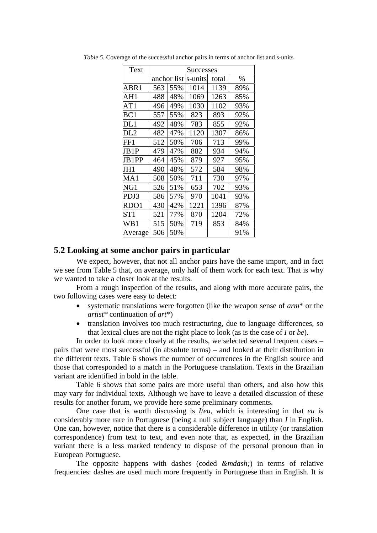| Text    | <b>Successes</b> |             |         |       |      |  |  |  |  |  |  |
|---------|------------------|-------------|---------|-------|------|--|--|--|--|--|--|
|         |                  | anchor list | s-units | total | $\%$ |  |  |  |  |  |  |
| ABR1    | 563              | 55%         | 1014    | 1139  | 89%  |  |  |  |  |  |  |
| AH1     | 488              | 48%         | 1069    | 1263  | 85%  |  |  |  |  |  |  |
| AT1     | 496              | 49%         | 1030    | 1102  | 93%  |  |  |  |  |  |  |
| BC1     | 557              | 55%         | 823     | 893   | 92%  |  |  |  |  |  |  |
| DL1     | 492              | 48%         | 783     | 855   | 92%  |  |  |  |  |  |  |
| DL2     | 482              | 47%         | 1120    | 1307  | 86%  |  |  |  |  |  |  |
| FF1     | 512              | 50%         | 706     | 713   | 99%  |  |  |  |  |  |  |
| JB1P    | 479              | 47%         | 882     | 934   | 94%  |  |  |  |  |  |  |
| JB1PP   | 464              | 45%         | 879     | 927   | 95%  |  |  |  |  |  |  |
| JH1     | 490              | 48%         | 572     | 584   | 98%  |  |  |  |  |  |  |
| MA1     | 508              | 50%         | 711     | 730   | 97%  |  |  |  |  |  |  |
| NG1     | 526              | 51%         | 653     | 702   | 93%  |  |  |  |  |  |  |
| PDJ3    | 586              | 57%         | 970     | 1041  | 93%  |  |  |  |  |  |  |
| RDO1    | 430              | 42%         | 1221    | 1396  | 87%  |  |  |  |  |  |  |
| ST1     | 521              | 77%         | 870     | 1204  | 72%  |  |  |  |  |  |  |
| WB1     | 515              | 50%         | 719     | 853   | 84%  |  |  |  |  |  |  |
| Average | 506              | 50%         |         |       | 91%  |  |  |  |  |  |  |

*Table 5.* Coverage of the successful anchor pairs in terms of anchor list and s-units

#### **5.2 Looking at some anchor pairs in particular**

We expect, however, that not all anchor pairs have the same import, and in fact we see from Table 5 that, on average, only half of them work for each text. That is why we wanted to take a closer look at the results.

From a rough inspection of the results, and along with more accurate pairs, the two following cases were easy to detect:

- systematic translations were forgotten (like the weapon sense of *arm*\* or the *artist\** continuation of *art\**)
- translation involves too much restructuring, due to language differences, so that lexical clues are not the right place to look (as is the case of *I* or *be*).

In order to look more closely at the results, we selected several frequent cases – pairs that were most successful (in absolute terms) – and looked at their distribution in the different texts. Table 6 shows the number of occurrences in the English source and those that corresponded to a match in the Portuguese translation. Texts in the Brazilian variant are identified in bold in the table.

Table 6 shows that some pairs are more useful than others, and also how this may vary for individual texts. Although we have to leave a detailed discussion of these results for another forum, we provide here some preliminary comments.

One case that is worth discussing is *I*/*eu*, which is interesting in that *eu* is considerably more rare in Portuguese (being a null subject language) than *I* in English. One can, however, notice that there is a considerable difference in utility (or translation correspondence) from text to text, and even note that, as expected, in the Brazilian variant there is a less marked tendency to dispose of the personal pronoun than in European Portuguese.

The opposite happens with dashes (coded *&mdash*;) in terms of relative frequencies: dashes are used much more frequently in Portuguese than in English. It is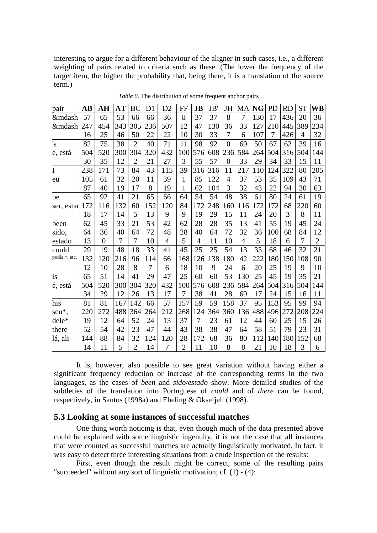interesting to argue for a different behaviour of the aligner in such cases, i.e., a different weighting of pairs related to criteria such as these. (The lower the frequency of the target item, the higher the probability that, being there, it is a translation of the source term.)

| pair          | AB  | AН             | $\bf AT$ | <b>BC</b>      | D1  | D2             | FF             | $\bf{JB}$      | <b>JB</b> | JH             | MA             | <b>NG</b> | PD  | RD  | <b>ST</b>      | WB             |
|---------------|-----|----------------|----------|----------------|-----|----------------|----------------|----------------|-----------|----------------|----------------|-----------|-----|-----|----------------|----------------|
| —             | 57  | 65             | 53       | 66             | 66  | 36             | 8              | 37             | 37        | 8              | $\overline{7}$ | 130       | 17  | 436 | 20             | 36             |
| —             | 247 | 454            | 343      | 305            | 236 | 507            | 12             | 47             | 130       | 36             | 33             | 127       | 210 | 445 | 389            | 234            |
|               | 16  | 25             | 46       | 50             | 22  | 22             | 10             | 30             | 33        | 7              | 6              | 107       | 7   | 426 | $\overline{4}$ | 32             |
| 's            | 82  | 75             | 38       | $\overline{2}$ | 40  | 71             | 11             | 98             | 92        | $\overline{0}$ | 69             | 50        | 67  | 62  | 39             | 16             |
| é, está       | 504 | 520            | 300      | 304            | 320 | 432            | 100            | 576            | 608       | 236            | 584            | 264       | 504 | 316 | 504            | 144            |
|               | 30  | 35             | 12       | $\overline{2}$ | 21  | 27             | 3              | 55             | 57        | $\overline{0}$ | 33             | 29        | 34  | 33  | 15             | 11             |
| I             | 238 | 171            | 73       | 84             | 43  | 115            | 39             | 316            | 316       | 11             | 217            | 110       | 124 | 322 | 80             | 205            |
| eu            | 105 | 61             | 32       | 20             | 11  | 39             | $\mathbf{1}$   | 85             | 122       | $\overline{4}$ | 37             | 53        | 35  | 109 | 43             | 71             |
|               | 87  | 40             | 19       | 17             | 8   | 19             | 1              | 62             | 104       | 3              | 32             | 43        | 22  | 94  | 30             | 63             |
| be            | 65  | 92             | 41       | 21             | 65  | 66             | 64             | 54             | 54        | 48             | 38             | 61        | 80  | 24  | 61             | 19             |
| ser, estar    | 172 | 116            | 132      | 60             | 152 | 120            | 84             | 172            | 248       | 160            | 116            | 172       | 172 | 68  | 220            | 60             |
|               | 18  | 17             | 14       | 5              | 13  | 9              | 9              | 19             | 29        | 15             | 11             | 24        | 20  | 3   | 8              | 11             |
| been          | 62  | 45             | 33       | 21             | 53  | 42             | 62             | 28             | 28        | 35             | 13             | 41        | 55  | 19  | 45             | 24             |
| sido,         | 64  | 36             | 40       | 64             | 72  | 48             | 28             | 40             | 64        | 72             | 32             | 36        | 100 | 68  | 84             | 12             |
| estado        | 13  | $\overline{0}$ | 7        | 7              | 10  | $\overline{4}$ | 5              | $\overline{4}$ | 11        | 10             | $\overline{4}$ | 5         | 18  | 6   | 7              | $\overline{2}$ |
| could         | 29  | 19             | 48       | 18             | 33  | 41             | 45             | 25             | 25        | 54             | 13             | 33        | 68  | 46  | 32             | 21             |
| podia.*, etc. | 132 | 120            | 216      | 96             | 114 | 66             | 168            | 126            | 138       | 180            | 42             | 222       | 180 | 150 | 108            | 90             |
|               | 12  | 10             | 28       | 8              | 7   | 6              | 18             | 10             | 9         | 24             | 6              | 20        | 25  | 19  | 9              | 10             |
| is            | 65  | 51             | 14       | 41             | 29  | 47             | 25             | 60             | 60        | 53             | 130            | 25        | 45  | 19  | 35             | 21             |
| é, está       | 504 | 520            | 300      | 304            | 320 | 432            | 100            | 576            | 608       | 236            | 584            | 264       | 504 | 316 | 504            | 144            |
|               | 34  | 29             | 12       | 26             | 13  | 17             | 7              | 38             | 41        | 28             | 69             | 17        | 24  | 15  | 16             | 11             |
| his           | 81  | 81             | 167      | 142            | 66  | 57             | 157            | 59             | 59        | 158            | 37             | 95        | 153 | 95  | 99             | 94             |
| seu*,         | 220 | 272            | 488      | 364            | 264 | 212            | 268            | 124            | 364       | 360            | 136            | 488       | 496 | 272 | 208            | 224            |
| dele*         | 19  | 12             | 64       | 52             | 24  | 13             | 37             | 7              | 23        | 61             | 12             | 44        | 60  | 25  | 15             | 26             |
| there         | 52  | 54             | 42       | 23             | 47  | 44             | 43             | 38             | 38        | 47             | 64             | 58        | 51  | 79  | 23             | 31             |
| lá, ali       | 144 | 88             | 84       | 32             | 124 | 120            | 28             | 172            | 68        | 36             | 80             | 112       | 140 | 180 | 152            | 68             |
|               | 14  | 11             | 5        | $\overline{2}$ | 14  | 7              | $\overline{2}$ | 11             | 10        | 8              | 8              | 21        | 10  | 18  | 3              | 6              |

*Table 6.* The distribution of some frequent anchor pairs

It is, however, also possible to see great variation without having either a significant frequency reduction or increase of the corresponding terms in the two languages, as the cases of *been* and *sido/estado* show. More detailed studies of the subtleties of the translation into Portuguese of *could* and of *there* can be found, respectively, in Santos (1998a) and Ebeling & Oksefjell (1998).

#### **5.3 Looking at some instances of successful matches**

One thing worth noticing is that, even though much of the data presented above could be explained with some linguistic ingenuity, it is not the case that all instances that were counted as successful matches are actually linguistically motivated. In fact, it was easy to detect three interesting situations from a crude inspection of the results:

First, even though the result might be correct, some of the resulting pairs "succeeded" without any sort of linguistic motivation; cf. (1) - (4):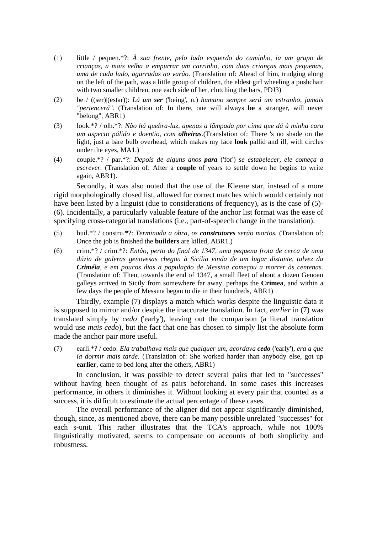- (1) little / pequen.\*?: *À sua frente, pelo lado esquerdo do caminho, ia um grupo de crianças, a mais velha a empurrar um carrinho, com duas crianças mais pequenas, uma de cada lado, agarradas ao varão.* (Translation of: Ahead of him, trudging along on the left of the path, was a little group of children, the eldest girl wheeling a pushchair with two smaller children, one each side of her, clutching the bars, PDJ3)
- (2) be / ((ser)|(estar)): *Lá um ser* ('being', n.) *humano sempre será um estranho, jamais "pertencerá".* (Translation of: In there, one will always **be** a stranger, will never "belong", ABR1)
- (3) look.\*? / olh.\*?: *Não há quebra-luz, apenas a lâmpada por cima que dá à minha cara um aspecto pálido e doentio, com olheiras.*(Translation of: There 's no shade on the light, just a bare bulb overhead, which makes my face **look** pallid and ill, with circles under the eyes, MA1.)
- (4) couple.\*? / par.\*?: *Depois de alguns anos para* ('for') *se estabelecer, ele começa a escrever.* (Translation of: After a **couple** of years to settle down he begins to write again, ABR1).

Secondly, it was also noted that the use of the Kleene star, instead of a more rigid morphologically closed list, allowed for correct matches which would certainly not have been listed by a linguist (due to considerations of frequency), as is the case of (5)- (6). Incidentally, a particularly valuable feature of the anchor list format was the ease of specifying cross-categorial translations (i.e., part-of-speech change in the translation).

- (5) buil.\*? / constru.\*?: *Terminada a obra, os construtores serão mortos.* (Translation of: Once the job is finished the **builders** are killed, ABR1.)
- (6) crim.\*? / crim.\*?: *Então, perto do final de 1347, uma pequena frota de cerca de uma dúzia de galeras genovesas chegou à Sicília vinda de um lugar distante, talvez da Criméia, e em poucos dias a população de Messina começou a morrer às centenas.* (Translation of: Then, towards the end of 1347, a small fleet of about a dozen Genoan galleys arrived in Sicily from somewhere far away, perhaps the **Crimea**, and within a few days the people of Messina began to die in their hundreds, ABR1)

Thirdly, example (7) displays a match which works despite the linguistic data it is supposed to mirror and/or despite the inaccurate translation. In fact, *earlier* in (7) was translated simply by *cedo* ('early'), leaving out the comparison (a literal translation would use *mais cedo*), but the fact that one has chosen to simply list the absolute form made the anchor pair more useful.

(7) earli.\*? / cedo: *Ela trabalhava mais que qualquer um, acordava cedo* ('early')*, era a que ia dormir mais tarde.* (Translation of: She worked harder than anybody else, got up **earlier**, came to bed long after the others, ABR1)

In conclusion, it was possible to detect several pairs that led to "successes" without having been thought of as pairs beforehand. In some cases this increases performance, in others it diminishes it. Without looking at every pair that counted as a success, it is difficult to estimate the actual percentage of these cases.

The overall performance of the aligner did not appear significantly diminished, though, since, as mentioned above, there can be many possible unrelated "successes" for each s-unit. This rather illustrates that the TCA's approach, while not 100% linguistically motivated, seems to compensate on accounts of both simplicity and robustness.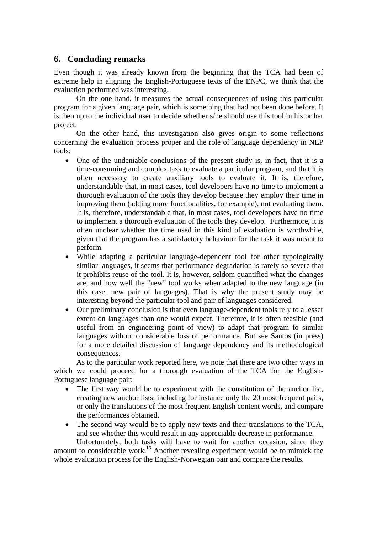## **6. Concluding remarks**

Even though it was already known from the beginning that the TCA had been of extreme help in aligning the English-Portuguese texts of the ENPC, we think that the evaluation performed was interesting.

On the one hand, it measures the actual consequences of using this particular program for a given language pair, which is something that had not been done before. It is then up to the individual user to decide whether s/he should use this tool in his or her project.

On the other hand, this investigation also gives origin to some reflections concerning the evaluation process proper and the role of language dependency in NLP tools:

- One of the undeniable conclusions of the present study is, in fact, that it is a time-consuming and complex task to evaluate a particular program, and that it is often necessary to create auxiliary tools to evaluate it. It is, therefore, understandable that, in most cases, tool developers have no time to implement a thorough evaluation of the tools they develop because they employ their time in improving them (adding more functionalities, for example), not evaluating them. It is, therefore, understandable that, in most cases, tool developers have no time to implement a thorough evaluation of the tools they develop. Furthermore, it is often unclear whether the time used in this kind of evaluation is worthwhile, given that the program has a satisfactory behaviour for the task it was meant to perform.
- While adapting a particular language-dependent tool for other typologically similar languages, it seems that performance degradation is rarely so severe that it prohibits reuse of the tool. It is, however, seldom quantified what the changes are, and how well the "new" tool works when adapted to the new language (in this case, new pair of languages). That is why the present study may be interesting beyond the particular tool and pair of languages considered.
- Our preliminary conclusion is that even language-dependent tools rely to a lesser extent on languages than one would expect. Therefore, it is often feasible (and useful from an engineering point of view) to adapt that program to similar languages without considerable loss of performance. But see Santos (in press) for a more detailed discussion of language dependency and its methodological consequences.

As to the particular work reported here, we note that there are two other ways in which we could proceed for a thorough evaluation of the TCA for the English-Portuguese language pair:

- The first way would be to experiment with the constitution of the anchor list, creating new anchor lists, including for instance only the 20 most frequent pairs, or only the translations of the most frequent English content words, and compare the performances obtained.
- The second way would be to apply new texts and their translations to the TCA, and see whether this would result in any appreciable decrease in performance.

Unfortunately, both tasks will have to wait for another occasion, since they amount to considerable work.<sup>16</sup> Another revealing experiment would be to mimick the whole evaluation process for the English-Norwegian pair and compare the results.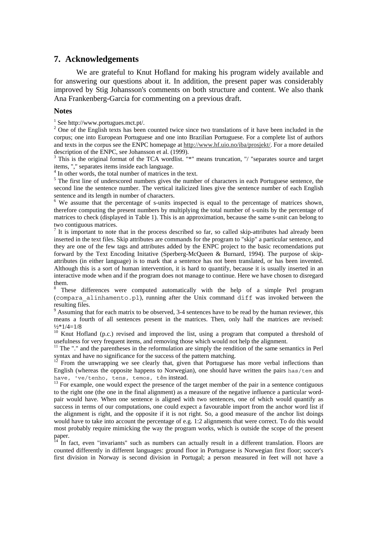### **7. Acknowledgements**

We are grateful to Knut Hofland for making his program widely available and for answering our questions about it. In addition, the present paper was considerably improved by Stig Johansson's comments on both structure and content. We also thank Ana Frankenberg-Garcia for commenting on a previous draft.

#### **Notes**

1 See http://www.portugues.mct.pt/.

 $2$  One of the English texts has been counted twice since two translations of it have been included in the corpus; one into European Portuguese and one into Brazilian Portuguese. For a complete list of authors and texts in the corpus see the ENPC homepage at http://www.hf.uio.no/iba/prosjekt/. For a more detailed description of the ENPC, see Johansson et al. (1999).

<sup>3</sup> This is the original format of the TCA wordlist. "\*" means truncation, "/ "separates source and target items, "," separates items inside each language.

<sup>4</sup> In other words, the total number of matrices in the text.

 $<sup>5</sup>$  The first line of underscored numbers gives the number of characters in each Portuguese sentence, the</sup> second line the sentence number. The vertical italicized lines give the sentence number of each English sentence and its length in number of characters.

<sup>6</sup> We assume that the percentage of s-units inspected is equal to the percentage of matrices shown, therefore computing the present numbers by multiplying the total number of s-units by the percentage of matrices to check (displayed in Table 1). This is an approximation, because the same s-unit can belong to two contiguous matrices.

 $<sup>7</sup>$  It is important to note that in the process described so far, so called skip-attributes had already been</sup> inserted in the text files. Skip attributes are commands for the program to "skip" a particular sentence, and they are one of the few tags and attributes added by the ENPC project to the basic recomendations put forward by the Text Encoding Initative (Sperberg-McQueen & Burnard, 1994). The purpose of skipattributes (in either language) is to mark that a sentence has not been translated, or has been invented. Although this is a sort of human intervention, it is hard to quantify, because it is usually inserted in an interactive mode when and if the program does not manage to continue. Here we have chosen to disregard them.

8 These differences were computed automatically with the help of a simple Perl program (compara\_alinhamento.pl), running after the Unix command diff was invoked between the resulting files.

 $9$  Assuming that for each matrix to be observed, 3-4 sentences have to be read by the human reviewer, this means a fourth of all sentences present in the matrices. Then, only half the matrices are revised:  $\frac{1}{2}*1/4=1/8$ 

<sup>10</sup> Knut Hofland (p.c.) revised and improved the list, using a program that computed a threshold of usefulness for very frequent items, and removing those which would not help the alignment.

<sup>11</sup> The "." and the parentheses in the reformulation are simply the rendition of the same semantics in Perl syntax and have no significance for the success of the pattern matching.

From the unwrapping we see clearly that, given that Portuguese has more verbal inflections than English (whereas the opposite happens to Norwegian), one should have written the pairs has/tem and have, 've/tenho, tens, temos, têm instead.

 $^{13}$  For example, one would expect the presence of the target member of the pair in a sentence contiguous to the right one (the one in the final alignment) as a measure of the negative influence a particular wordpair would have. When one sentence is aligned with two sentences, one of which would quantify as success in terms of our computations, one could expect a favourable import from the anchor word list if the alignment is right, and the opposite if it is not right. So, a good measure of the anchor list doings would have to take into account the percentage of e.g. 1:2 alignments that were correct. To do this would most probably require mimicking the way the program works, which is outside the scope of the present paper.

 $14$  In fact, even "invariants" such as numbers can actually result in a different translation. Floors are counted differently in different languages: ground floor in Portuguese is Norwegian first floor; soccer's first division in Norway is second division in Portugal; a person measured in feet will not have a